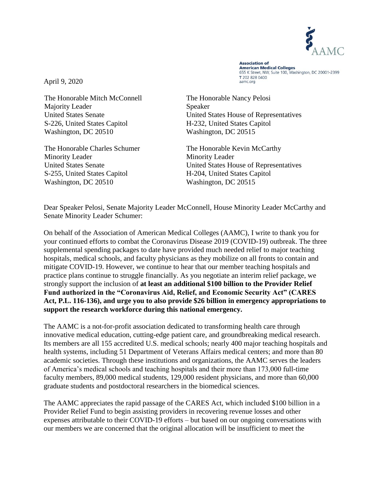

**Association of Association of**<br>American Medical Colleges 655 K Street, NW, Suite 100, Washington, DC 20001-2399 T 202 828 0400 aamc.org

April 9, 2020

The Honorable Mitch McConnell The Honorable Nancy Pelosi Majority Leader Speaker S-226, United States Capitol H-232, United States Capitol Washington, DC 20510 Washington, DC 20515

Minority Leader Minority Leader S-255, United States Capitol H-204, United States Capitol Washington, DC 20510 Washington, DC 20515

United States Senate United States House of Representatives

The Honorable Charles Schumer The Honorable Kevin McCarthy United States Senate United States House of Representatives

Dear Speaker Pelosi, Senate Majority Leader McConnell, House Minority Leader McCarthy and Senate Minority Leader Schumer:

On behalf of the Association of American Medical Colleges (AAMC), I write to thank you for your continued efforts to combat the Coronavirus Disease 2019 (COVID-19) outbreak. The three supplemental spending packages to date have provided much needed relief to major teaching hospitals, medical schools, and faculty physicians as they mobilize on all fronts to contain and mitigate COVID-19. However, we continue to hear that our member teaching hospitals and practice plans continue to struggle financially. As you negotiate an interim relief package, we strongly support the inclusion of **at least an additional \$100 billion to the Provider Relief Fund authorized in the "Coronavirus Aid, Relief, and Economic Security Act" (CARES Act, P.L. 116-136), and urge you to also provide \$26 billion in emergency appropriations to support the research workforce during this national emergency.** 

The AAMC is a not-for-profit association dedicated to transforming health care through innovative medical education, cutting-edge patient care, and groundbreaking medical research. Its members are all 155 accredited U.S. medical schools; nearly 400 major teaching hospitals and health systems, including 51 Department of Veterans Affairs medical centers; and more than 80 academic societies. Through these institutions and organizations, the AAMC serves the leaders of America's medical schools and teaching hospitals and their more than 173,000 full-time faculty members, 89,000 medical students, 129,000 resident physicians, and more than 60,000 graduate students and postdoctoral researchers in the biomedical sciences.

The AAMC appreciates the rapid passage of the CARES Act, which included \$100 billion in a Provider Relief Fund to begin assisting providers in recovering revenue losses and other expenses attributable to their COVID-19 efforts – but based on our ongoing conversations with our members we are concerned that the original allocation will be insufficient to meet the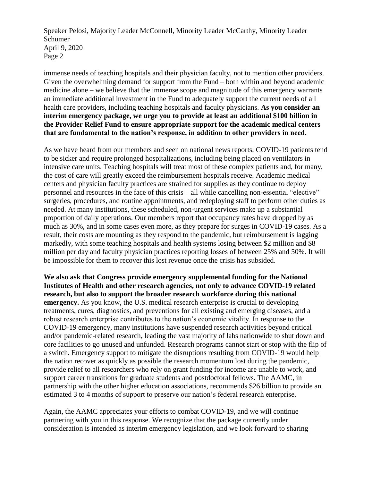Speaker Pelosi, Majority Leader McConnell, Minority Leader McCarthy, Minority Leader Schumer April 9, 2020 Page 2

immense needs of teaching hospitals and their physician faculty, not to mention other providers. Given the overwhelming demand for support from the Fund – both within and beyond academic medicine alone – we believe that the immense scope and magnitude of this emergency warrants an immediate additional investment in the Fund to adequately support the current needs of all health care providers, including teaching hospitals and faculty physicians. **As you consider an interim emergency package, we urge you to provide at least an additional \$100 billion in the Provider Relief Fund to ensure appropriate support for the academic medical centers that are fundamental to the nation's response, in addition to other providers in need.** 

As we have heard from our members and seen on national news reports, COVID-19 patients tend to be sicker and require prolonged hospitalizations, including being placed on ventilators in intensive care units. Teaching hospitals will treat most of these complex patients and, for many, the cost of care will greatly exceed the reimbursement hospitals receive. Academic medical centers and physician faculty practices are strained for supplies as they continue to deploy personnel and resources in the face of this crisis – all while cancelling non-essential "elective" surgeries, procedures, and routine appointments, and redeploying staff to perform other duties as needed. At many institutions, these scheduled, non-urgent services make up a substantial proportion of daily operations. Our members report that occupancy rates have dropped by as much as 30%, and in some cases even more, as they prepare for surges in COVID-19 cases. As a result, their costs are mounting as they respond to the pandemic, but reimbursement is lagging markedly, with some teaching hospitals and health systems losing between \$2 million and \$8 million per day and faculty physician practices reporting losses of between 25% and 50%. It will be impossible for them to recover this lost revenue once the crisis has subsided.

**We also ask that Congress provide emergency supplemental funding for the National Institutes of Health and other research agencies, not only to advance COVID-19 related research, but also to support the broader research workforce during this national emergency.** As you know, the U.S. medical research enterprise is crucial to developing treatments, cures, diagnostics, and preventions for all existing and emerging diseases, and a robust research enterprise contributes to the nation's economic vitality. In response to the COVID-19 emergency, many institutions have suspended research activities beyond critical and/or pandemic-related research, leading the vast majority of labs nationwide to shut down and core facilities to go unused and unfunded. Research programs cannot start or stop with the flip of a switch. Emergency support to mitigate the disruptions resulting from COVID-19 would help the nation recover as quickly as possible the research momentum lost during the pandemic, provide relief to all researchers who rely on grant funding for income are unable to work, and support career transitions for graduate students and postdoctoral fellows. The AAMC, in partnership with the other higher education associations, recommends \$26 billion to provide an estimated 3 to 4 months of support to preserve our nation's federal research enterprise.

Again, the AAMC appreciates your efforts to combat COVID-19, and we will continue partnering with you in this response. We recognize that the package currently under consideration is intended as interim emergency legislation, and we look forward to sharing